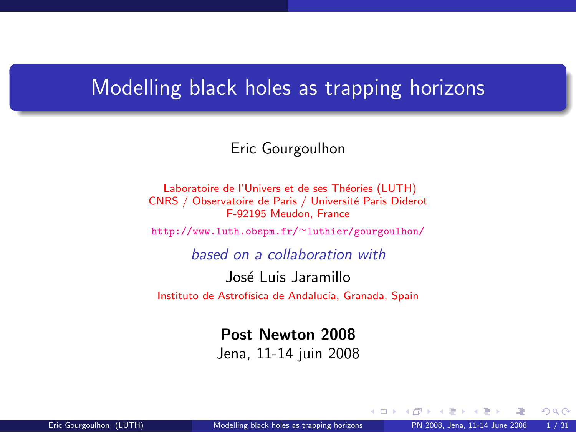#### <span id="page-0-1"></span>Modelling black holes as trapping horizons

#### Eric Gourgoulhon

Laboratoire de l'Univers et de ses Théories (LUTH) CNRS / Observatoire de Paris / Université Paris Diderot F-92195 Meudon, France

[http://www.luth.obspm.fr/](http://www.luth.obspm.fr/~luthier/gourgoulhon/)∼luthier/gourgoulhon/

based on a collaboration with

José Luis Jaramillo

Instituto de Astrofísica de Andalucía, Granada, Spain

Post Newton 2008

Jena, 11-14 juin 2008

<span id="page-0-0"></span> $\Omega$ 

**← ロ ▶ → イ 同**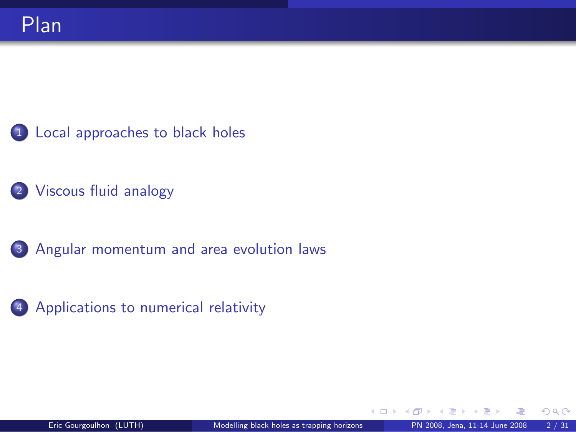<sup>1</sup> [Local approaches to black holes](#page-2-0)

2 [Viscous fluid analogy](#page-29-0)

3 [Angular momentum and area evolution laws](#page-45-0)

<sup>4</sup> [Applications to numerical relativity](#page-56-0)

<span id="page-1-0"></span>つへへ

4 0 8 4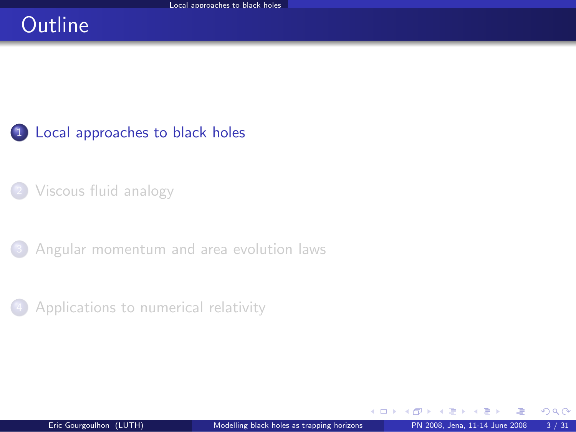# **Outline**

<sup>1</sup> [Local approaches to black holes](#page-2-0)

<sup>2</sup> [Viscous fluid analogy](#page-29-0)

<sup>3</sup> [Angular momentum and area evolution laws](#page-45-0)



<span id="page-2-0"></span> $\Omega$ 

**← ロ ▶ → イ 同**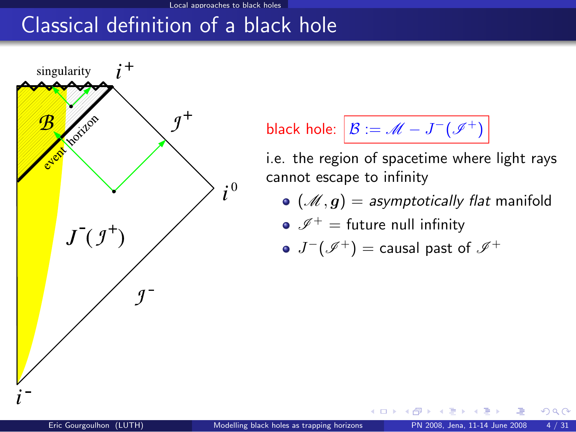## Classical definition of a black hole



black hole: 
$$
B := \mathcal{M} - J^-(\mathcal{I}^+)
$$

i.e. the region of spacetime where light rays cannot escape to infinity

 $({\mathscr M}, g) =$  asymptotically flat manifold

• 
$$
\mathscr{I}^+=
$$
 future null infinity

$$
\bullet\ J^-(\mathscr I^+)=\text{causal past of }\mathscr I^+
$$

4 0 8 1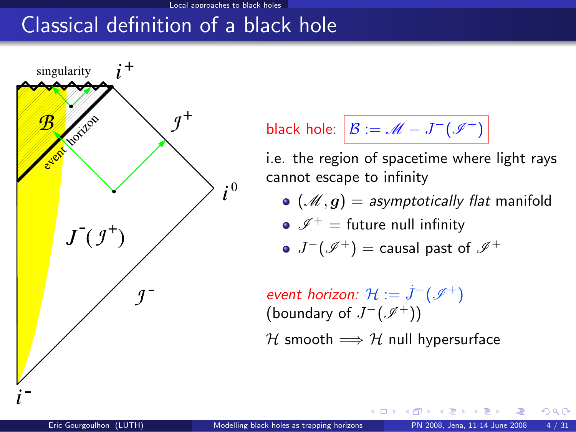# Classical definition of a black hole



black hole: 
$$
B := \mathcal{M} - J^-(\mathcal{I}^+)
$$

i.e. the region of spacetime where light rays cannot escape to infinity

 $\bullet$  ( $\mathscr{M}, g$ ) = asymptotically flat manifold

$$
\bullet\ \mathscr I^+=\text{future null infinity}
$$

$$
\bullet\ J^-(\mathscr I^+) = \text{causal past of }\mathscr I^+
$$

event horizon:  $\mathcal{H}:=\dot{J}^{-}(\mathscr{I}^{+})$ (boundary of  $J^-(\mathscr{I}^+)$ )

H smooth  $\Longrightarrow$  H null hypersurface

**4 ロ ト 4 何 ト 4**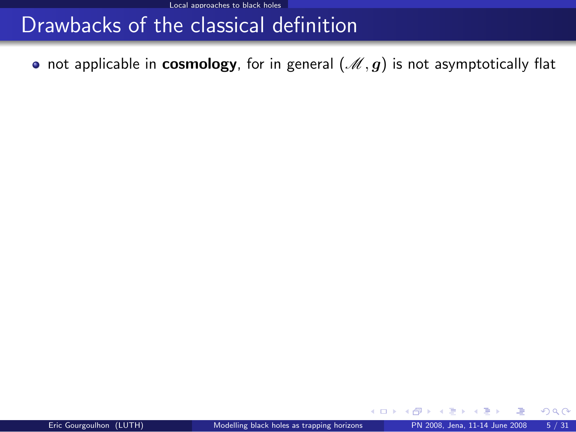• not applicable in cosmology, for in general  $(\mathcal{M}, g)$  is not asymptotically flat

 $\Omega$ 

**K ロ ▶ K 何 ▶ K**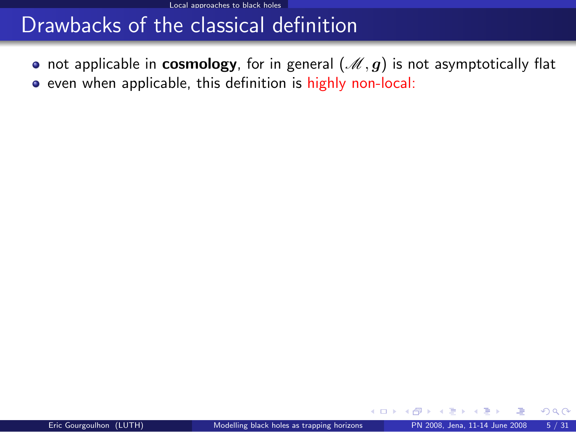• not applicable in cosmology, for in general  $(\mathcal{M}, g)$  is not asymptotically flat • even when applicable, this definition is highly non-local:

**K ロ ▶ K 何 ▶ K 手** 

 $299$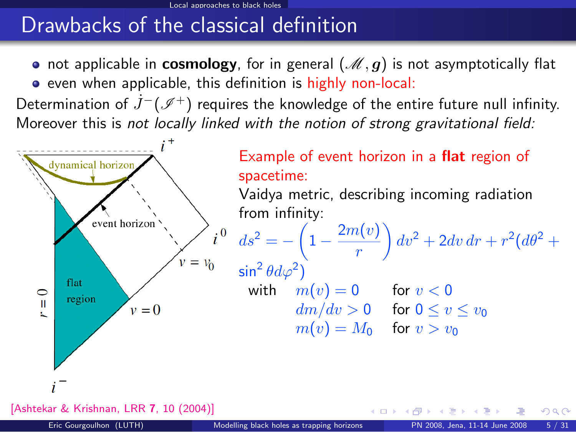• not applicable in **cosmology**, for in general  $(\mathcal{M}, g)$  is not asymptotically flat • even when applicable, this definition is highly non-local:

Determination of  $J^-(\mathscr{I}^+)$  requires the knowledge of the entire future null infinity. Moreover this is not locally linked with the notion of strong gravitational field:



[\[Ashtekar & Krishnan, LRR](http://www.livingreviews.org/lrr-2004-10) 7, 10 (2004)]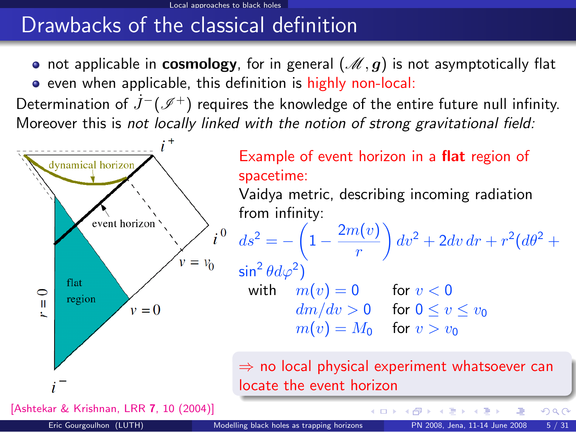• not applicable in **cosmology**, for in general  $(\mathcal{M}, g)$  is not asymptotically flat • even when applicable, this definition is highly non-local:

Determination of  $J^-(\mathscr{I}^+)$  requires the knowledge of the entire future null infinity. Moreover this is not locally linked with the notion of strong gravitational field:



[\[Ashtekar & Krishnan, LRR](http://www.livingreviews.org/lrr-2004-10) 7, 10 (2004)]

**K ロ ▶ K 何 ▶ K 手** 

 $290$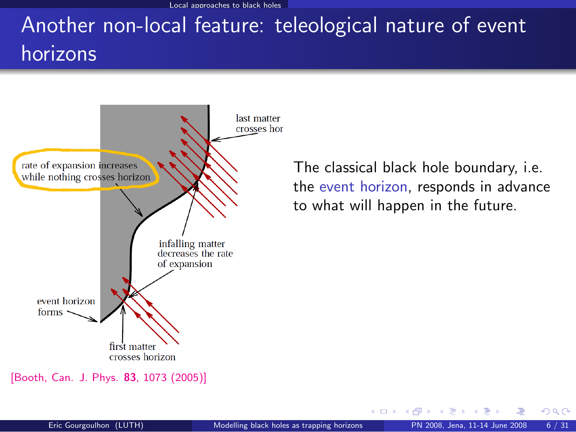Local approaches to black holes

# Another non-local feature: teleological nature of event horizons



[\[Booth, Can. J. Phys.](http://fr.arxiv.org/abs/gr-qc/0508107) 83, 1073 (2005)]

The classical black hole boundary, i.e. the event horizon, responds in advance to what will happen in the future.

**← ロ ▶ → イ 同**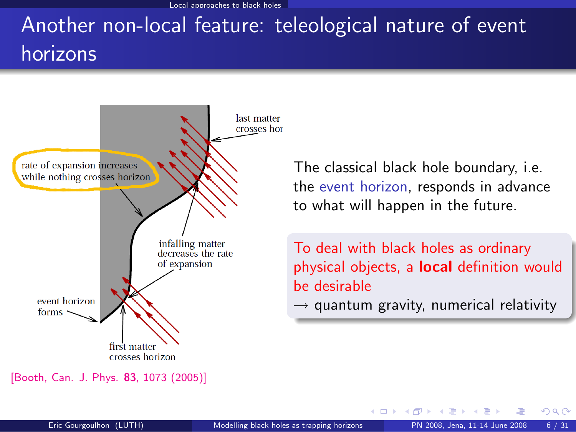Local approaches to black holes

# Another non-local feature: teleological nature of event horizons



[<sup>\[</sup>Booth, Can. J. Phys.](http://fr.arxiv.org/abs/gr-qc/0508107) 83, 1073 (2005)]

The classical black hole boundary, i.e. the event horizon, responds in advance to what will happen in the future.

To deal with black holes as ordinary physical objects, a **local** definition would be desirable

 $\rightarrow$  quantum gravity, numerical relativity

**←ロ ▶ ← イ 同 →**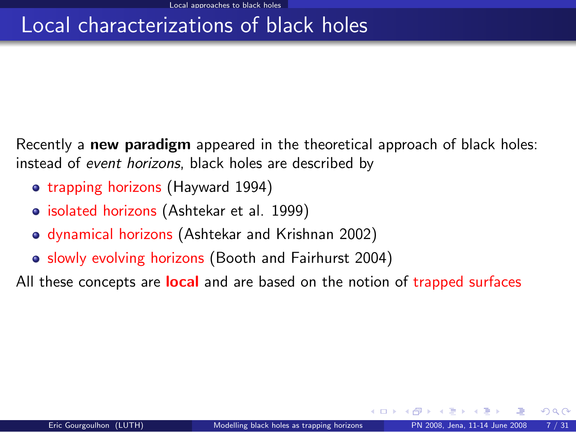## Local characterizations of black holes

Recently a new paradigm appeared in the theoretical approach of black holes: instead of event horizons, black holes are described by

- trapping horizons (Hayward 1994)
- isolated horizons (Ashtekar et al. 1999)
- dynamical horizons (Ashtekar and Krishnan 2002)
- slowly evolving horizons (Booth and Fairhurst 2004)

All these concepts are **local** and are based on the notion of trapped surfaces

 $\Omega$ 

∢ □ ▶ к 何 ▶ к ∃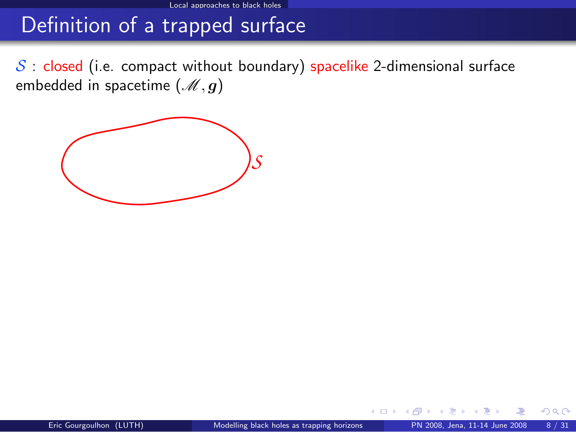$S$ : closed (i.e. compact without boundary) spacelike 2-dimensional surface embedded in spacetime  $(M, g)$ 



 $\Omega$ 

**← ロ ▶ → イ 同**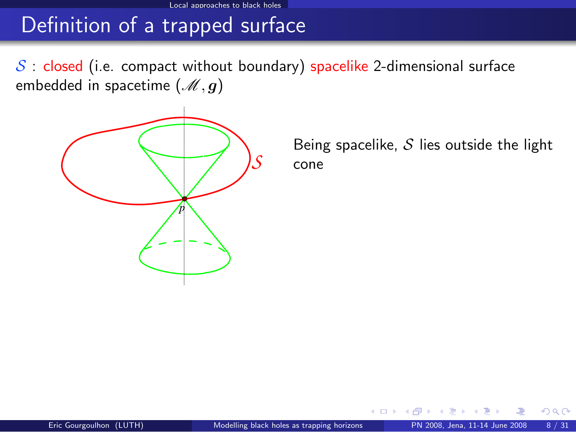#### Local approaches to black holes

# Definition of a trapped surface

 $S$  : closed (i.e. compact without boundary) spacelike 2-dimensional surface embedded in spacetime  $(M, g)$ 



Being spacelike,  $S$  lies outside the light cone

4 0 8 4

 $299$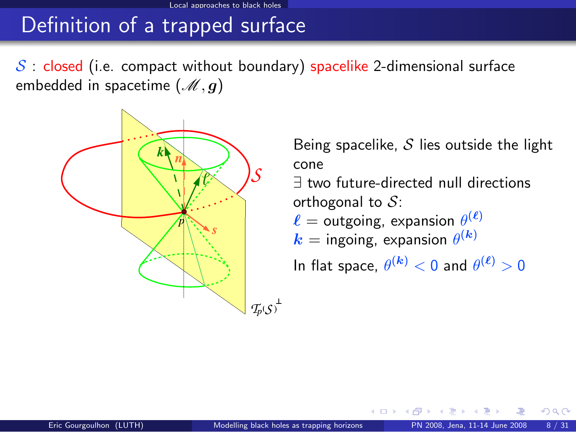$S$  : closed (i.e. compact without boundary) spacelike 2-dimensional surface embedded in spacetime  $(\mathcal{M}, g)$ 



Being spacelike,  $S$  lies outside the light cone

∃ two future-directed null directions orthogonal to  $S$ :

 $\ell =$  outgoing, expansion  $\theta^{(\ell)}$ 

$$
k = \text{ingoing, expansion } \theta^{(k)}
$$

4 0 8

In flat space,  $\theta^{(\bm{k})} < 0$  and  $\theta^{(\bm{\ell})} > 0$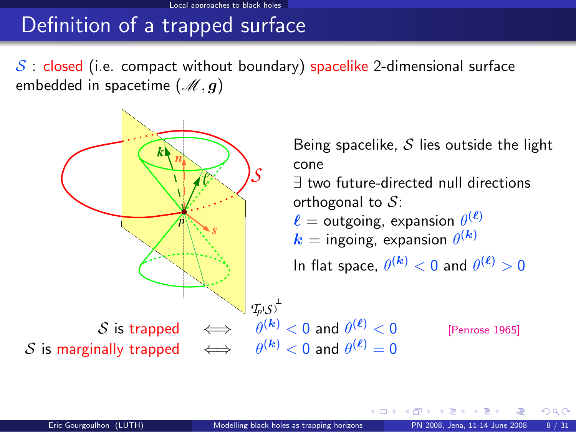$S$  : closed (i.e. compact without boundary) spacelike 2-dimensional surface embedded in spacetime  $(\mathcal{M}, g)$ 



 $\Omega$ 

4 D F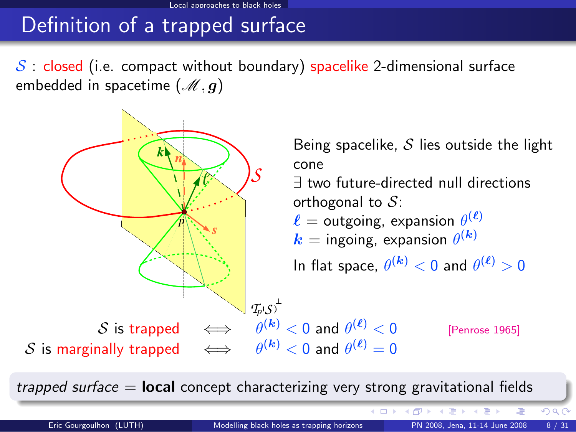$S$  : closed (i.e. compact without boundary) spacelike 2-dimensional surface embedded in spacetime  $(\mathcal{M}, g)$ 



trapped surface  $=$  **local** concept characterizing very strong gravitational fields

4 0 8 1 ∢ n <span id="page-16-0"></span> $OQ$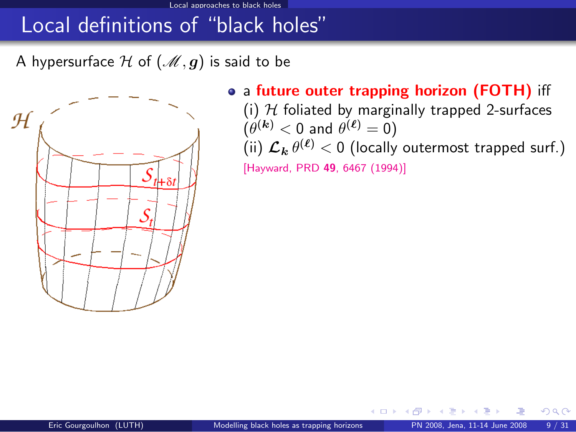A hypersurface H of  $(\mathcal{M}, g)$  is said to be



• a future outer trapping horizon (FOTH) iff

<span id="page-17-0"></span>4 D F

(i)  $H$  foliated by marginally trapped 2-surfaces  $(\theta^{(\bm{k})} < 0$  and  $\theta^{(\bm{\ell})} = 0)$ (ii)  $\mathcal{L}_{\bm{k}} \, \theta^{(\bm{\ell})} < 0$  (locally outermost trapped surf.)

[\[Hayward, PRD](http://link.aps.org/abstract/PRD/v49/p6467) 49, 6467 (1994)]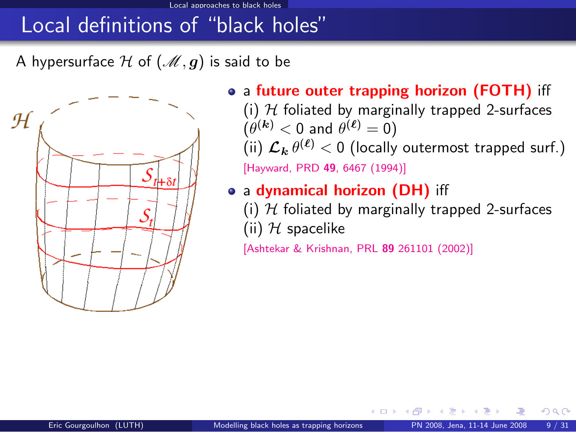#### Local approaches to black holes

# Local definitions of "black holes"

A hypersurface H of  $(M, g)$  is said to be



• a future outer trapping horizon (FOTH) iff (i)  $H$  foliated by marginally trapped 2-surfaces  $(\theta^{(\bm{k})} < 0$  and  $\theta^{(\bm{\ell})} = 0)$ (ii)  $\mathcal{L}_{\bm{k}} \, \theta^{(\bm{\ell})} < 0$  (locally outermost trapped surf.)

[\[Hayward, PRD](http://link.aps.org/abstract/PRD/v49/p6467) 49, 6467 (1994)]

- a dynamical horizon (DH) iff
	- (i)  $H$  foliated by marginally trapped 2-surfaces (ii)  $H$  spacelike

4 D F

[\[Ashtekar & Krishnan, PRL](http://link.aps.org/abstract/PRL/v89/e261101) 89 261101 (2002)]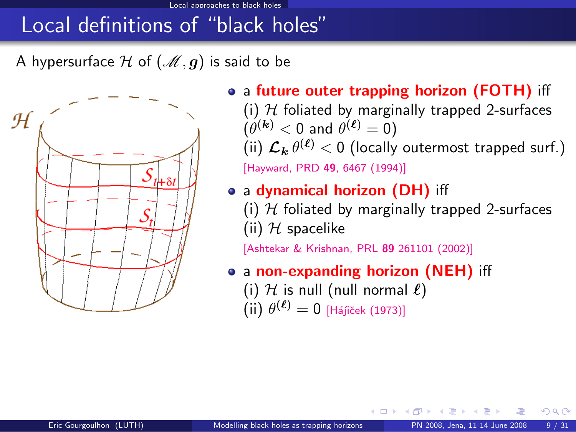A hypersurface H of  $(\mathcal{M}, g)$  is said to be



• a future outer trapping horizon (FOTH) iff (i)  $H$  foliated by marginally trapped 2-surfaces  $(\theta^{(\bm{k})} < 0$  and  $\theta^{(\bm{\ell})} = 0)$ 

(ii)  $\mathcal{L}_{\bm{k}} \, \theta^{(\bm{\ell})} < 0$  (locally outermost trapped surf.) [\[Hayward, PRD](http://link.aps.org/abstract/PRD/v49/p6467) 49, 6467 (1994)]

- a dynamical horizon (DH) iff
	- (i)  $H$  foliated by marginally trapped 2-surfaces (ii)  $H$  spacelike

[\[Ashtekar & Krishnan, PRL](http://link.aps.org/abstract/PRL/v89/e261101) 89 261101 (2002)]

a non-expanding horizon (NEH) iff

<span id="page-19-0"></span>4 D F

(i)  $H$  is null (null normal  $\ell$ )  $(iii) \theta^{(\ell)} = 0$  [Hájiček (1973)]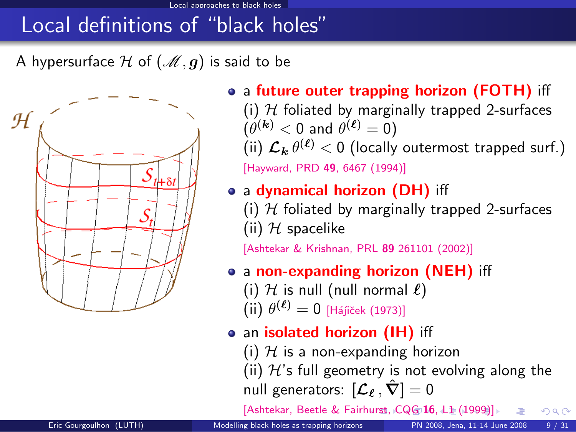A hypersurface H of  $(\mathcal{M}, g)$  is said to be



• a future outer trapping horizon (FOTH) iff (i)  $H$  foliated by marginally trapped 2-surfaces  $(\theta^{(\bm{k})} < 0$  and  $\theta^{(\bm{\ell})} = 0)$ (ii)  $\mathcal{L}_{\bm{k}} \, \theta^{(\bm{\ell})} < 0$  (locally outermost trapped surf.)

[\[Hayward, PRD](http://link.aps.org/abstract/PRD/v49/p6467) 49, 6467 (1994)]

#### • a dynamical horizon (DH) iff

(i)  $H$  foliated by marginally trapped 2-surfaces (ii)  $H$  spacelike

[\[Ashtekar & Krishnan, PRL](http://link.aps.org/abstract/PRL/v89/e261101) 89 261101 (2002)]

- a non-expanding horizon (NEH) iff
	- (i)  $H$  is null (null normal  $\ell$ )
	- $(iii) \theta^{(\ell)} = 0$  [Hájiček (1973)]
- an isolated horizon (IH) iff
	- (i)  $H$  is a non-expanding horizon

(ii)  $H$ 's full geometry is not evolving along the null generators:  $[\mathcal{L}_\ell, \hat{\nabla}] = 0$ 

<span id="page-20-0"></span>[\[Ashtekar, Beetle & Fairh](http://stacks.iop.org/0264-9381/16/L1)[ur](#page-19-0)[st,](http://stacks.iop.org/0264-9381/16/L1)[C](http://stacks.iop.org/0264-9381/16/L1)[Q](#page-16-0)[G](#page-17-0) [16](#page-22-0)[,](#page-1-0) [L1](#page-2-0) [\(1](#page-29-0)[99](#page-1-0)[9](#page-2-0)[\)\]](#page-28-0)  $\Omega$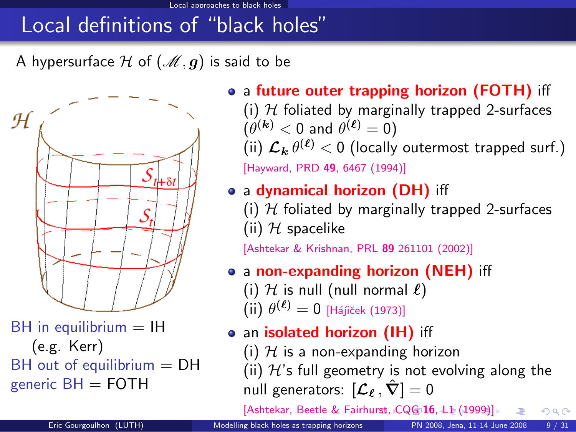A hypersurface H of  $(\mathcal{M}, g)$  is said to be



 $BH$  in equilibrium  $= IH$ (e.g. Kerr)  $BH$  out of equilibrium  $= DH$ generic  $BH = FOTH$ 

- a future outer trapping horizon (FOTH) iff (i)  $H$  foliated by marginally trapped 2-surfaces
	- $(\theta^{(\bm{k})} < 0$  and  $\theta^{(\bm{\ell})} = 0)$ (ii)  $\mathcal{L}_{\bm{k}} \, \theta^{(\bm{\ell})} < 0$  (locally outermost trapped surf.)

[\[Hayward, PRD](http://link.aps.org/abstract/PRD/v49/p6467) 49, 6467 (1994)]

- a dynamical horizon (DH) iff
	- (i)  $H$  foliated by marginally trapped 2-surfaces (ii)  $H$  spacelike

[\[Ashtekar & Krishnan, PRL](http://link.aps.org/abstract/PRL/v89/e261101) 89 261101 (2002)]

- a non-expanding horizon (NEH) iff
	- (i)  $H$  is null (null normal  $\ell$ )  $(iii) \theta^{(\ell)} = 0$  [Hájiček (1973)]
	-
- an isolated horizon (IH) iff (i)  $H$  is a non-expanding horizon
	- (ii)  $H$ 's full geometry is not evolving along the null generators:  $[\mathcal{L}_\ell, \hat{\nabla}] = 0$

<span id="page-21-0"></span>[\[Ashtekar, Beetle & Fairh](http://stacks.iop.org/0264-9381/16/L1)[ur](#page-20-0)[st,](http://stacks.iop.org/0264-9381/16/L1)[C](http://stacks.iop.org/0264-9381/16/L1)[Q](#page-16-0)[G](#page-17-0) [16](#page-22-0)[,](#page-1-0) [L1](#page-2-0)[\(1](#page-29-0)[99](#page-1-0)[9](#page-2-0)[\)\]](#page-28-0)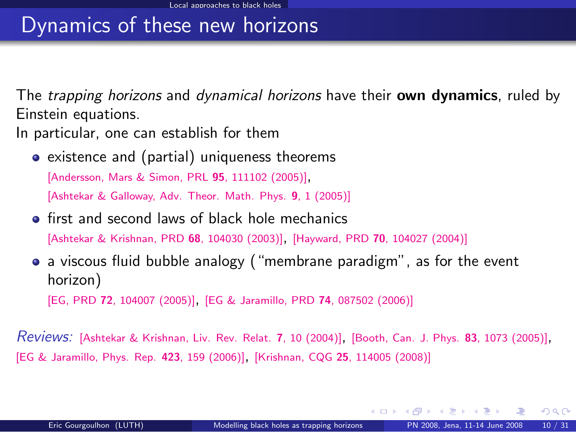# Dynamics of these new horizons

The *trapping horizons* and *dynamical horizons* have their **own dynamics**, ruled by Einstein equations.

In particular, one can establish for them

• existence and (partial) uniqueness theorems

[\[Andersson, Mars & Simon, PRL](http://link.aps.org/abstract/PRL/v95/e111102) <sup>95</sup>, 111102 (2005)],

[\[Ashtekar & Galloway, Adv. Theor. Math. Phys.](http://arxiv.org/abs/gr-qc/0503109) 9, 1 (2005)]

**•** first and second laws of black hole mechanics [\[Ashtekar & Krishnan, PRD](http://link.aps.org/abstract/PRD/v68/e104030) <sup>68</sup>, 104030 (2003)], [Hayward, PRD <sup>70</sup>[, 104027 \(2004\)\]](http://link.aps.org/abstract/PRD/v70/e104027)

a viscous fluid bubble analogy ("membrane paradigm", as for the event horizon) [EG, PRD <sup>72</sup>[, 104007 \(2005\)\]](http://link.aps.org/abstract/PRD/v72/e104007), [\[EG & Jaramillo, PRD](http://link.aps.org/abstract/PRD/v74/e087502) <sup>74</sup>, 087502 (2006)]

Reviews: [\[Ashtekar & Krishnan, Liv. Rev. Relat.](http://www.livingreviews.org/lrr-2004-10) <sup>7</sup>, 10 (2004)], [\[Booth, Can. J. Phys.](http://arxiv.org/abs/gr-qc/0508107) <sup>83</sup>, 1073 (2005)], [\[EG & Jaramillo, Phys. Rep.](http://authors.elsevier.com/sd/article/S0370157305004394) <sup>423</sup>, 159 (2006)], [Krishnan, CQG <sup>25</sup>[, 114005 \(2008\)\]](http://www.iop.org/EJ/abstract/0264-9381/25/11/114005)

<span id="page-22-0"></span> $\Omega$ 

イロト イ押ト イヨト イ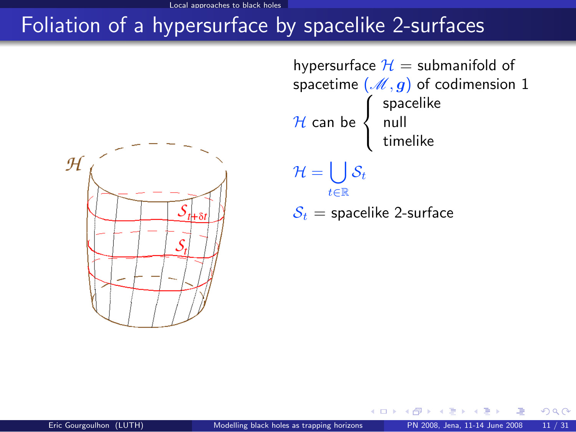# Foliation of a hypersurface by spacelike 2-surfaces



hypersurface  $H =$  submanifold of spacetime  $(\mathcal{M}, g)$  of codimension 1  ${\cal H}$  can be  $\sqrt{ }$ Į  $\mathcal{L}$ spacelike null timelike  $\mathcal{H} = \bigcup \mathcal{S}_t$ t∈R  $S_t$  = spacelike 2-surface

そロト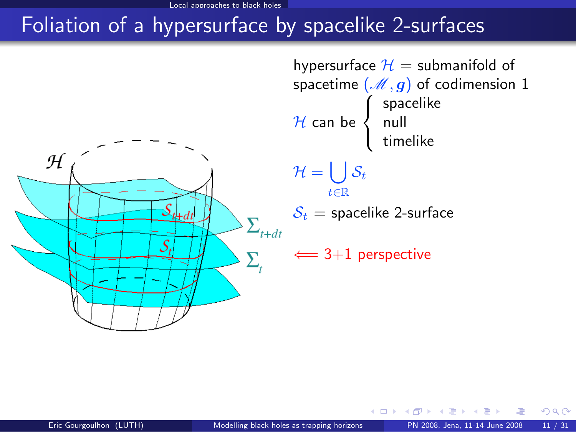# Foliation of a hypersurface by spacelike 2-surfaces



hypersurface  $H =$  submanifold of spacetime  $(\mathcal{M}, g)$  of codimension 1  ${\cal H}$  can be  $\sqrt{ }$ Į  $\mathcal{L}$ spacelike null timelike  $\mathcal{H} = \bigcup \mathcal{S}_t$ t∈R  $S_t$  = spacelike 2-surface  $\xleftarrow{ } 3+1$  perspective

4 **D F**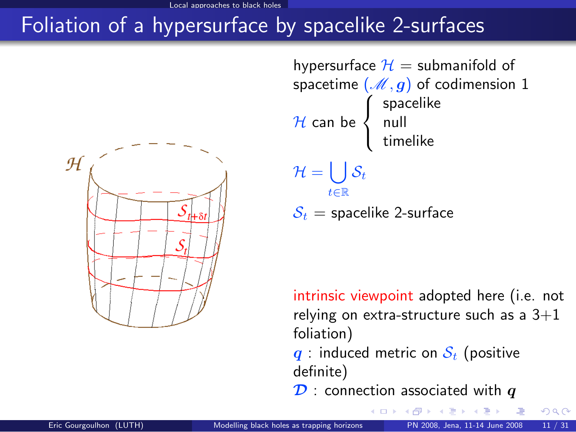# Foliation of a hypersurface by spacelike 2-surfaces



hypersurface  $H =$  submanifold of spacetime  $(\mathcal{M}, g)$  of codimension 1  ${\cal H}$  can be  $\sqrt{ }$ Į  $\mathcal{L}$ spacelike null timelike  $\mathcal{H} = \bigcup \mathcal{S}_t$ t∈R  $S_t$  = spacelike 2-surface

intrinsic viewpoint adopted here (i.e. not relying on extra-structure such as a  $3+1$ foliation)

 $q$  : induced metric on  $S_t$  (positive definite)

 $\mathcal{D}$  : connection associated with  $q$ **K ロ ▶ | K 何 ▶ | K 日**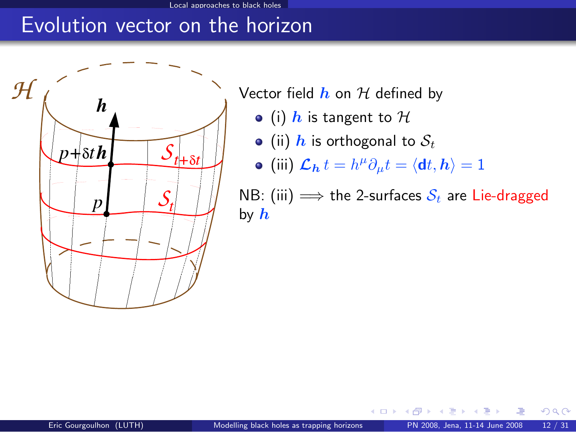## Evolution vector on the horizon



Vector field  $h$  on  $H$  defined by

- (i)  $h$  is tangent to  $H$
- (ii)  $h$  is orthogonal to  $S_t$

• (iii) 
$$
\mathcal{L}_{h} t = h^{\mu} \partial_{\mu} t = \langle \mathbf{d} t, h \rangle = 1
$$

NB: (iii)  $\implies$  the 2-surfaces  $S_t$  are Lie-dragged by  $h$ 

そロト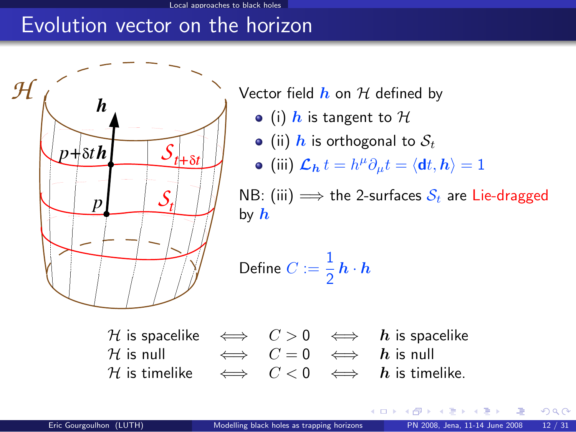## Evolution vector on the horizon



Vector field  $h$  on  $H$  defined by

- (i) h is tangent to  $H$
- (ii) h is orthogonal to  $S_t$

• (iii) 
$$
\mathcal{L}_{h} t = h^{\mu} \partial_{\mu} t = \langle \mathbf{d} t, h \rangle = 1
$$

NB: (iii)  $\implies$  the 2-surfaces  $S_t$  are Lie-dragged by  $h$ 

Define 
$$
C := \frac{1}{2} h \cdot h
$$



4 0 8 1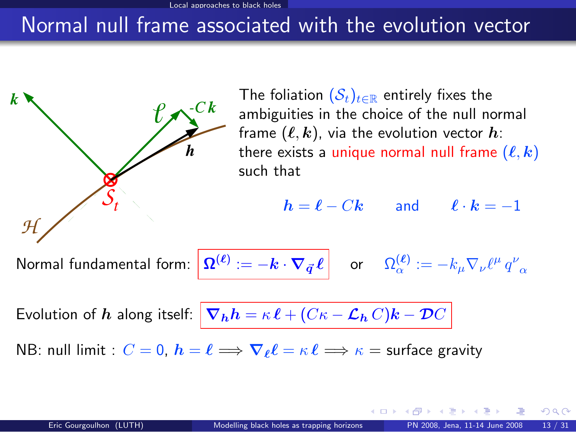## Normal null frame associated with the evolution vector

<span id="page-28-0"></span>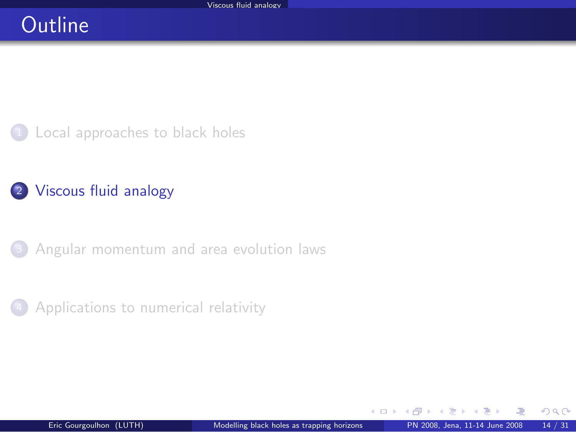## **Outline**

<sup>1</sup> [Local approaches to black holes](#page-2-0)

#### 2 [Viscous fluid analogy](#page-29-0)

<sup>3</sup> [Angular momentum and area evolution laws](#page-45-0)



<span id="page-29-0"></span> $\Omega$ 

4 0 8 1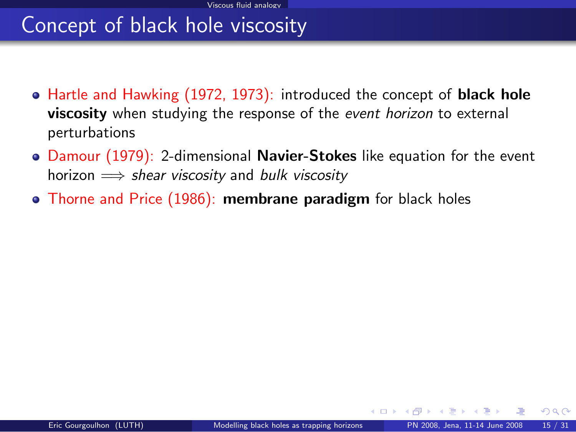# Concept of black hole viscosity

- Hartle and Hawking (1972, 1973): introduced the concept of **black hole** viscosity when studying the response of the event horizon to external perturbations
- Damour (1979): 2-dimensional **Navier-Stokes** like equation for the event horizon  $\implies$  shear viscosity and bulk viscosity
- Thorne and Price (1986): membrane paradigm for black holes

 $\Omega$ 

**K ロ ▶ K 何 ▶ K**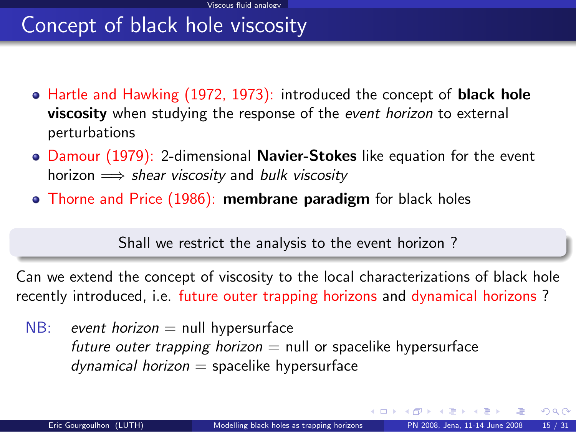# Concept of black hole viscosity

- Hartle and Hawking (1972, 1973): introduced the concept of **black hole** viscosity when studying the response of the event horizon to external perturbations
- Damour (1979): 2-dimensional Navier-Stokes like equation for the event horizon  $\implies$  shear viscosity and bulk viscosity
- Thorne and Price (1986): membrane paradigm for black holes

Shall we restrict the analysis to the event horizon ?

Can we extend the concept of viscosity to the local characterizations of black hole recently introduced, i.e. future outer trapping horizons and dynamical horizons ?

 $NB:$  event horizon  $=$  null hypersurface future outer trapping horizon  $=$  null or spacelike hypersurface  $d$ ynamical horizon = spacelike hypersurface

 $\Omega$ 

イロト イ押 トイヨ トイヨ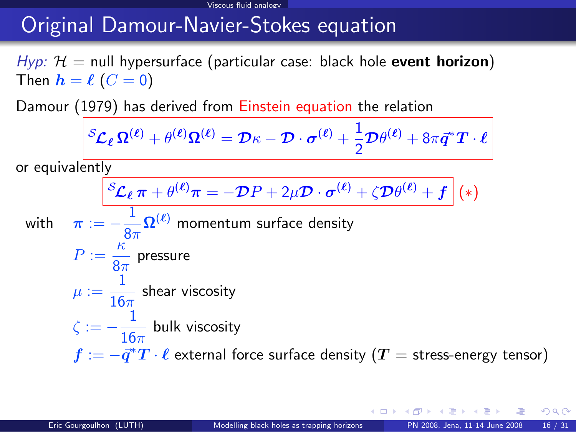# Original Damour-Navier-Stokes equation

 $Hyp: H = null$  hypersurface (particular case: black hole event horizon) Then  $h = \ell$   $(C = 0)$ 

Damour (1979) has derived from Einstein equation the relation

$$
{}^{\mathcal{S}}\! \mathcal{L}_{\boldsymbol{\ell}}\,\boldsymbol{\Omega}^{(\boldsymbol{\ell})} + \theta^{(\boldsymbol{\ell})}\boldsymbol{\Omega}^{(\boldsymbol{\ell})} = \mathcal{D}\kappa - \mathcal{D}\cdot\boldsymbol{\sigma}^{(\boldsymbol{\ell})} + \frac{1}{2}\mathcal{D}\theta^{(\boldsymbol{\ell})} + 8\pi\vec{\boldsymbol{q}}^*\boldsymbol{T}\cdot\boldsymbol{\ell}
$$

or equivalently

$$
\left| \,^{\mathcal{S}}\mathcal{L}_{\ell}\,\pi + \theta^{(\ell)}\pi = -\mathcal{D}P + 2\mu\mathcal{D}\cdot\boldsymbol{\sigma}^{(\ell)} + \zeta\mathcal{D}\theta^{(\ell)} + \boldsymbol{f} \,\right|(*)
$$

with  $\pi:=-\frac{1}{2}$  $\frac{1}{8\pi}\Omega^{(\ell)}$  momentum surface density  $P := \frac{\kappa}{2}$  $rac{1}{8\pi}$  pressure  $\mu := \frac{1}{16}$  $\frac{1}{16\pi}$  shear viscosity  $\zeta := -\frac{1}{16}$  $\frac{1}{16\pi}$  bulk viscosity  $\bar{f}:=-\vec{q}^*\bar{T}\cdot\ell$  external force surface density  $(\bar{T}=$  stress-energy tensor)

 $\Omega$ 

∢ ロ ▶ 《 何 ▶ 《 三 ▶ 《 三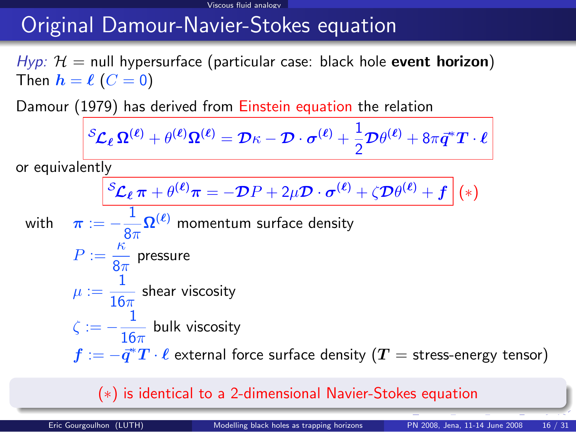# Original Damour-Navier-Stokes equation

 $Hyp: H = null$  hypersurface (particular case: black hole event horizon) Then  $h = \ell$   $(C = 0)$ 

Damour (1979) has derived from Einstein equation the relation

$$
{}^{\mathcal{S}}\! \mathcal{L}_{\boldsymbol{\ell}}\,\boldsymbol{\Omega}^{(\boldsymbol{\ell})} + \theta^{(\boldsymbol{\ell})}\boldsymbol{\Omega}^{(\boldsymbol{\ell})} = \mathcal{D}\kappa - \mathcal{D}\cdot\boldsymbol{\sigma}^{(\boldsymbol{\ell})} + \frac{1}{2}\mathcal{D}\theta^{(\boldsymbol{\ell})} + 8\pi\vec{\boldsymbol{q}}^*\boldsymbol{T}\cdot\boldsymbol{\ell}
$$

or equivalently

$$
\left| \,^{\mathcal{S}}\mathcal{L}_{\ell}\,\pi + \theta^{(\ell)}\pi = -\mathcal{D}P + 2\mu\mathcal{D}\cdot\boldsymbol{\sigma}^{(\ell)} + \zeta\mathcal{D}\theta^{(\ell)} + \boldsymbol{f} \,\right|(*)
$$

with  $\pi:=-\frac{1}{2}$  $\frac{1}{8\pi}\Omega^{(\ell)}$  momentum surface density  $P := \frac{\kappa}{2}$ 

$$
P := \frac{1}{8\pi} \text{ pressure}
$$
  

$$
\mu := \frac{1}{16\pi} \text{ shear viscosity}
$$
  

$$
\zeta := -\frac{1}{16\pi} \text{ bulk viscosity}
$$

 $\bar{f}:=-\vec{q}^*\bar{T}\cdot\ell$  external force surface density  $(\bar{T}=$  stress-energy tensor)

#### (∗) is identical to a 2-dimensional Navier-Stokes equation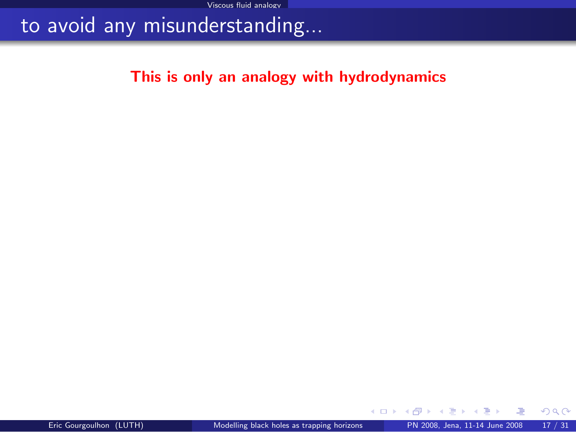## to avoid any misunderstanding...

#### This is only an analogy with hydrodynamics

э  $\sim$ 

**K ロ ト イ ト** 

 $299$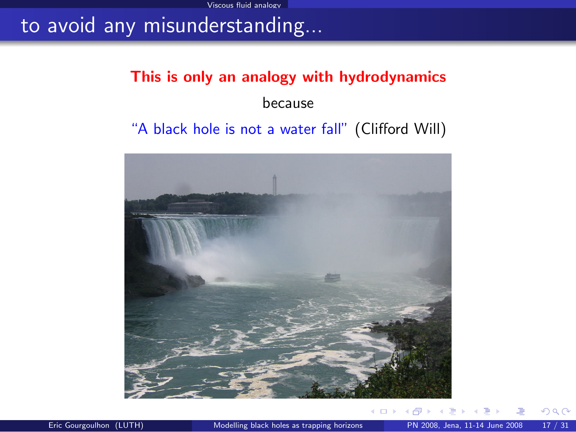## to avoid any misunderstanding...

# This is only an analogy with hydrodynamics because

#### "A black hole is not a water fall" (Clifford Will)



 $QQ$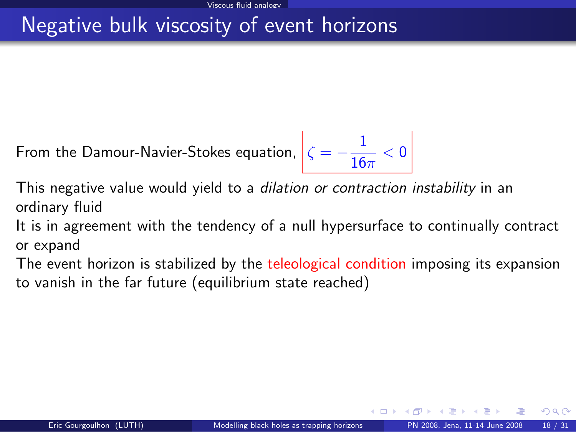# Negative bulk viscosity of event horizons

From the Damour-Navier-Stokes equation,  $\zeta = -\frac{1}{16}$  $\frac{1}{16\pi} < 0$ 

This negative value would yield to a *dilation or contraction instability* in an ordinary fluid

It is in agreement with the tendency of a null hypersurface to continually contract or expand

The event horizon is stabilized by the teleological condition imposing its expansion to vanish in the far future (equilibrium state reached)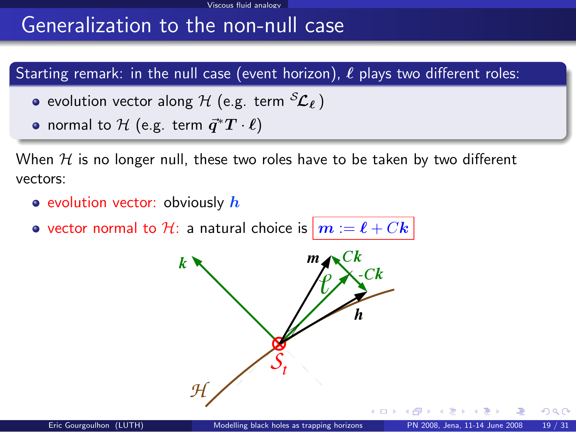# Generalization to the non-null case

#### Starting remark: in the null case (event horizon),  $\ell$  plays two different roles:

- evolution vector along  $H$  (e.g. term  ${}^S{\cal L}_\ell$  )
- normal to  $\mathcal H$  (e.g. term  $\vec{q}^*T\cdot \ell)$

When  $H$  is no longer null, these two roles have to be taken by two different vectors:

- evolution vector: obviously  $h$
- vector normal to H: a natural choice is  $\vert m := \ell + Ck \vert$

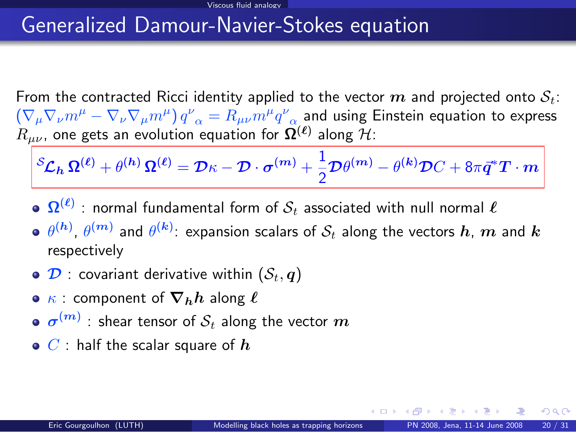## Generalized Damour-Navier-Stokes equation

From the contracted Ricci identity applied to the vector  $m$  and projected onto  $S_t$ :  $\left(\nabla_\mu\nabla_\nu m^\mu-\nabla_\nu\nabla_\mu m^\mu\right)q^\nu_{\;\;\alpha}=R_{\mu\nu}m^\mu q^\nu_{\;\;\alpha}$  and using Einstein equation to express  $R_{\mu\nu}$ , one gets an evolution equation for  $\mathbf{\Omega}^{(\bm{\ell})}$  along  $\mathcal{H}$ :

$$
{}^S\!{\cal L}_h\,\mathbf{\Omega}^{(\ell)} + \theta^{(h)}\,\mathbf{\Omega}^{(\ell)} = \mathcal{D}\kappa - \mathcal{D}\cdot\boldsymbol{\sigma}^{(m)} + \frac{1}{2}\mathcal{D}\theta^{(m)} - \theta^{(k)}\mathcal{D}C + 8\pi\vec{q}^*T\cdot m
$$

- $\mathbf{\Omega}^{(\ell)}$  : normal fundamental form of  $\mathcal{S}_t$  associated with null normal  $\ell$
- $\theta^{(\bm{h})}$ ,  $\theta^{(\bm{m})}$  and  $\theta^{(\bm{k})}$ : expansion scalars of  $\mathcal{S}_t$  along the vectors  $\bm{h}$ ,  $\bm{m}$  and  $\bm{k}$ respectively
- $\bullet$   $\mathcal{D}$  : covariant derivative within  $(\mathcal{S}_t, \boldsymbol{q})$
- $\kappa$  : component of  $\nabla_h h$  along  $\ell$
- $\sigma^{(m)}$  : shear tensor of  $\mathcal{S}_t$  along the vector  $m$
- $\bullet$  C : half the scalar square of  $\bm{h}$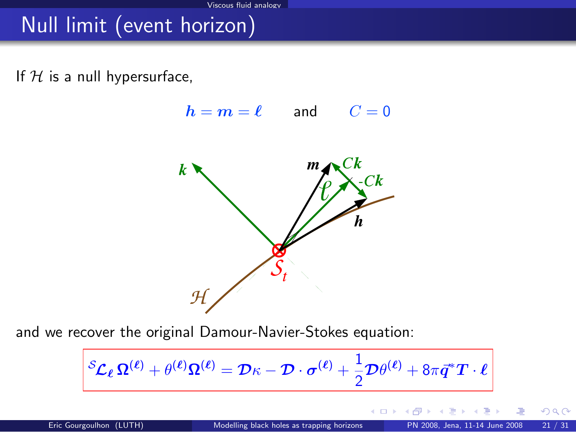# Null limit (event horizon)

If  $H$  is a null hypersurface,

 $h = m = \ell$  and  $C = 0$  $\mathcal{L}$  $m<sub>l</sub>$ k  $\mathcal H$ 

and we recover the original Damour-Navier-Stokes equation:

$$
{}^{\mathcal{S}}\! \mathcal{L}_{\ell} \, \Omega^{(\ell)} + \theta^{(\ell)} \Omega^{(\ell)} = \mathcal{D} \kappa - \mathcal{D} \cdot \sigma^{(\ell)} + \frac{1}{2} \mathcal{D} \theta^{(\ell)} + 8 \pi \vec{q}^* T \cdot \ell
$$

4 0 8 1

 $QQ$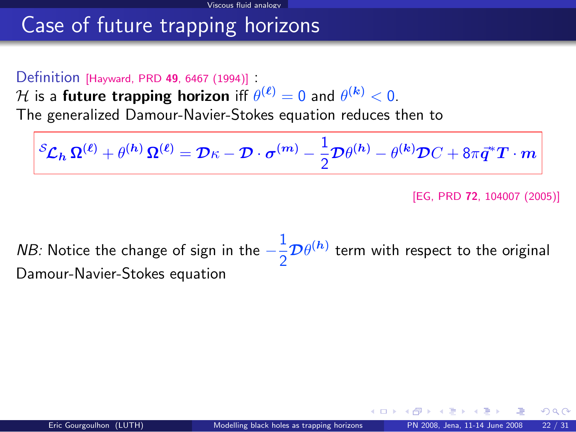# Case of future trapping horizons

#### Definition [\[Hayward, PRD](http://link.aps.org/abstract/PRD/v49/p6467) <sup>49</sup>, 6467 (1994)] :

 ${\cal H}$  is a future trapping horizon iff  $\theta^{(\bm{\ell})}=0$  and  $\theta^{(\bm{k})}< 0.$ 

The generalized Damour-Navier-Stokes equation reduces then to

$$
\left.\bm{\mathcal{S}_{L}}_{h} \, \bm{\Omega^{(\ell)}} + \theta^{(h)} \, \bm{\Omega^{(\ell)}} = \bm{\mathcal{D}}_{\mathcal{K}} - \bm{\mathcal{D}} \cdot \bm{\sigma^{(m)}} - \frac{1}{2} \bm{\mathcal{D}} \theta^{(h)} - \theta^{(k)} \bm{\mathcal{D}} C + 8 \pi \vec{\bm{q}}^* \bm{T} \cdot \bm{m} \right\}
$$

[EG, PRD 72[, 104007 \(2005\)\]](http://link.aps.org/abstract/PRD/v72/e104007)

*NB:* Notice the change of sign in the  $-\frac{1}{2}$  $\frac{1}{2}\mathcal{D}\theta^{(h)}$  term with respect to the original Damour-Navier-Stokes equation

 $\cap$   $\cap$ 

(□ ) (f)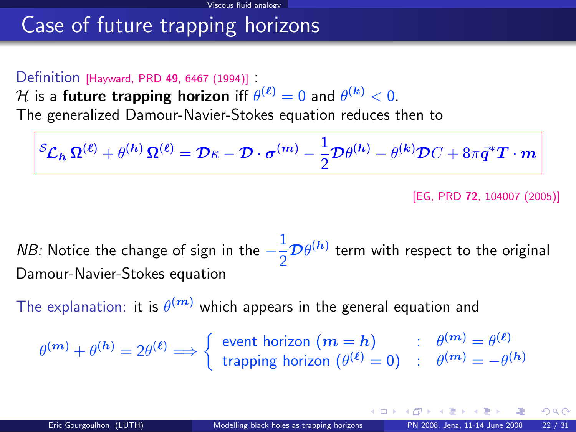# Case of future trapping horizons

#### Definition [\[Hayward, PRD](http://link.aps.org/abstract/PRD/v49/p6467) <sup>49</sup>, 6467 (1994)] :

 ${\cal H}$  is a future trapping horizon iff  $\theta^{(\bm{\ell})}=0$  and  $\theta^{(\bm{k})}< 0.$ 

The generalized Damour-Navier-Stokes equation reduces then to

$$
\left.\mathcal{S}_{\mathcal{L}_h} \,\Omega^{(\ell)} + \theta^{(h)}\,\Omega^{(\ell)} = \mathcal{D}\kappa - \mathcal{D}\cdot\boldsymbol{\sigma}^{(m)} - \frac{1}{2}\mathcal{D}\theta^{(h)} - \theta^{(k)}\mathcal{D}C + 8\pi\vec{q}^*T\cdot m\right|
$$

[EG, PRD 72[, 104007 \(2005\)\]](http://link.aps.org/abstract/PRD/v72/e104007)

*NB:* Notice the change of sign in the  $-\frac{1}{2}$  $\frac{1}{2}\mathcal{D}\theta^{(h)}$  term with respect to the original Damour-Navier-Stokes equation

The explanation: it is  $\theta^{(\bm{m})}$  which appears in the general equation and

 $\theta^{(m)} + \theta^{(h)} = 2\theta^{(\ell)} \Longrightarrow \begin{cases} \text{event horizon } (m = h) & \text{if } \theta^{(m)} = \theta^{(\ell)} \ \text{tension being } (\theta^{(\ell)} - \theta) & \text{if } \theta^{(m)} = \theta^{(\ell)} \end{cases}$ trapping horizon  $(\theta^{(\bm{\ell})}=0)$  :  $\theta^{(\bm{m})}=-\theta^{(\bm{h})}$ 

<span id="page-41-0"></span>K □ ▶ K 何 ▶ K ヨ ▶ K ヨ ▶ .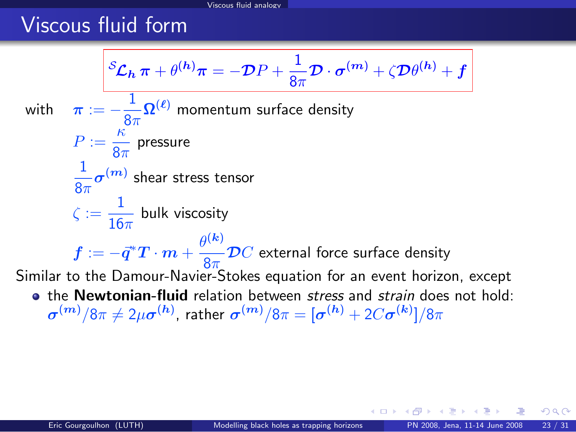# Viscous fluid form

$$
\mathcal{L}_{h} \pi + \theta^{(h)} \pi = -\mathcal{D}P + \frac{1}{8\pi} \mathcal{D} \cdot \sigma^{(m)} + \zeta \mathcal{D}\theta^{(h)} + f
$$
\nwith\n
$$
\pi := -\frac{1}{8\pi} \Omega^{(\ell)} \text{ momentum surface density}
$$
\n
$$
P := \frac{\kappa}{8\pi} \text{ pressure}
$$
\n
$$
\frac{1}{8\pi} \sigma^{(m)} \text{ shear stress tensor}
$$
\n
$$
\zeta := \frac{1}{16\pi} \text{ bulk viscosity}
$$
\n
$$
f := -\vec{q}^* T \cdot m + \frac{\theta^{(k)}}{8\pi} \mathcal{D}C \text{ external force surface density}
$$
\nSimilarly, Similar to the Damour-Navier-Stokes equation for an event horizon, except   
\n• the Newtonian-fluid relation between stress and strain does not hold: 
$$
\sigma^{(m)}/8\pi \neq 2\mu \sigma^{(h)}, \text{ rather } \sigma^{(m)}/8\pi = [\sigma^{(h)} + 2C\sigma^{(k)}]/8\pi
$$

<span id="page-42-0"></span> $299$ 

哇

◆ ロ ▶ → 伊

 $\sim$ ∍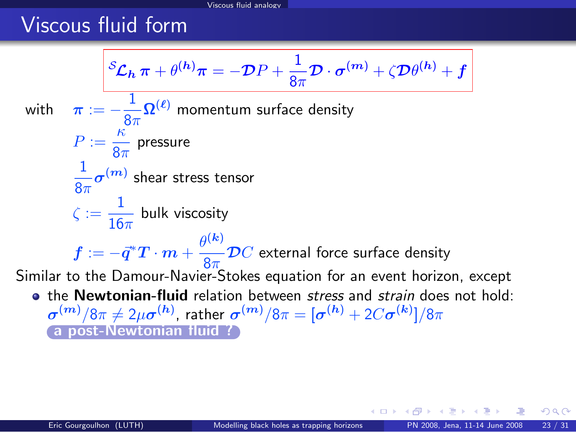# Viscous fluid form

$$
\mathcal{L}_{h} \pi + \theta^{(h)} \pi = -\mathcal{D}P + \frac{1}{8\pi} \mathcal{D} \cdot \sigma^{(m)} + \zeta \mathcal{D}\theta^{(h)} + f
$$
  
with 
$$
\pi := -\frac{1}{8\pi} \Omega^{(\ell)}
$$
 momentum surface density  

$$
P := \frac{\kappa}{8\pi}
$$
 pressure  

$$
\frac{1}{8\pi} \sigma^{(m)}
$$
 shear stress tensor  

$$
\zeta := \frac{1}{16\pi}
$$
 bulk viscosity  

$$
f := -\vec{q}^* T \cdot m + \frac{\theta^{(k)}}{8\pi} \mathcal{D}C
$$
 external force surface density  
Similar to the Danour-Navier-Stokes equation for an event horizon, except  
• the Newtonian-fluid relation between stress and strain does not hold:  

$$
\sigma^{(m)}/8\pi \neq 2\mu\sigma^{(h)}
$$
, rather 
$$
\sigma^{(m)}/8\pi = [\sigma^{(h)} + 2C\sigma^{(k)}]/8\pi
$$
  
(a post-Newtonian fluid ?)

∍ × <span id="page-43-0"></span> $299$ 

哇

**Kロト K包ト**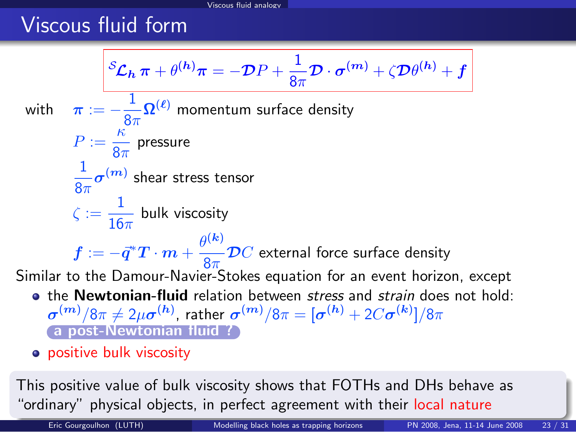# Viscous fluid form

$$
\mathcal{L}_{h} \pi + \theta^{(h)} \pi = -\mathcal{D}P + \frac{1}{8\pi} \mathcal{D} \cdot \sigma^{(m)} + \zeta \mathcal{D}\theta^{(h)} + f
$$
\nwith\n
$$
\pi := -\frac{1}{8\pi} \Omega^{(\ell)}
$$
\nmomentum surface density\n
$$
P := \frac{\kappa}{8\pi}
$$
\npressure\n
$$
\frac{1}{8\pi} \sigma^{(m)}
$$
\nshear stress tensor\n
$$
\zeta := \frac{1}{16\pi}
$$
\nbulk viscosity\n
$$
f := -\vec{q}^* T \cdot m + \frac{\theta^{(k)}}{8\pi} \mathcal{D}C
$$
\nexternal force surface density\nSimilar to the Danour-Navier-Stokes equation for an event horizon, except\n• the Newtonian-fluid relation between stress and strain does not hold:\n
$$
\sigma^{(m)}/8\pi \neq 2\mu\sigma^{(h)}
$$
\nrather\n
$$
\sigma^{(m)}/8\pi = [\sigma^{(h)} + 2C\sigma^{(k)}]/8\pi
$$
\n• positive bulk viscosity

This positive value of bulk viscosity shows that FOTHs and DHs behave as "ordinary" physical objects, in perfect agreement wit[h t](#page-43-0)[he](#page-45-0)[ir](#page-41-0) [l](#page-42-0)[o](#page-44-0)[c](#page-45-0)[al](#page-28-0)[n](#page-44-0)[at](#page-45-0)[u](#page-28-0)[r](#page-29-0)[e](#page-44-0)

<span id="page-44-0"></span>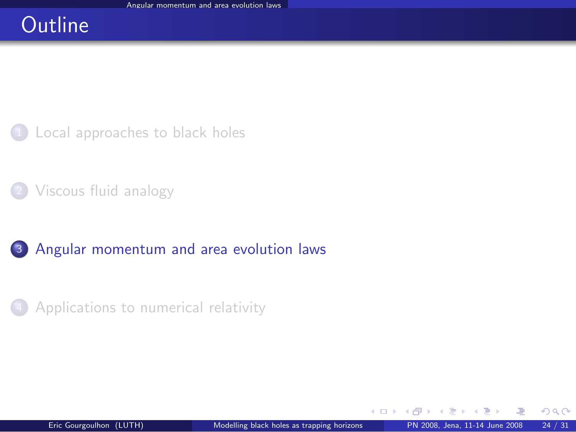# **Outline**

<sup>1</sup> [Local approaches to black holes](#page-2-0)

- [Viscous fluid analogy](#page-29-0)
- <sup>3</sup> [Angular momentum and area evolution laws](#page-45-0)
- <sup>4</sup> [Applications to numerical relativity](#page-56-0)

<span id="page-45-0"></span> $\Omega$ 

4 0 8 1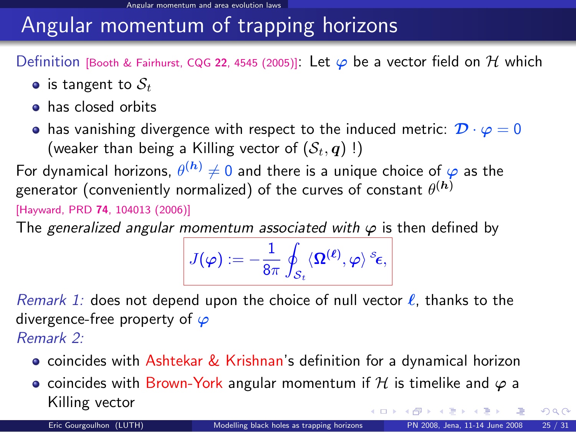# Angular momentum of trapping horizons

Definition [\[Booth & Fairhurst, CQG](http://arxiv.org/abs/gr-qc/0505049) 22, 4545 (2005)]: Let  $\varphi$  be a vector field on H which

- is tangent to  $S_t$
- **•** has closed orbits
- has vanishing divergence with respect to the induced metric:  $\mathcal{D} \cdot \varphi = 0$ (weaker than being a Killing vector of  $(S_t, q)$ !)

For dynamical horizons,  $\theta^{(\bm{h})}\neq 0$  and there is a unique choice of  $\bm{\varphi}$  as the generator (conveniently normalized) of the curves of constant  $\theta^{(\bm{h})}$ 

[Hayward, PRD 74[, 104013 \(2006\)\]](http://link.aps.org/abstract/PRD/v74/e104013)

The generalized angular momentum associated with  $\varphi$  is then defined by

$$
J(\boldsymbol{\varphi}):=-\frac{1}{8\pi}\oint_{\mathcal{S}_t}\langle \mathbf{\Omega}^{(\boldsymbol{\ell})},\boldsymbol{\varphi}\rangle^{s_{\boldsymbol{\epsilon}}},
$$

Remark 1: does not depend upon the choice of null vector  $\ell$ , thanks to the divergence-free property of  $\varphi$ Remark 2:

- **•** coincides with Ashtekar & Krishnan's definition for a dynamical horizon
- coincides with Brown-York angular momentum if H is timelike and  $\varphi$  a Killing vector **K ロ ▶ K 何 ▶ K ヨ ▶ K**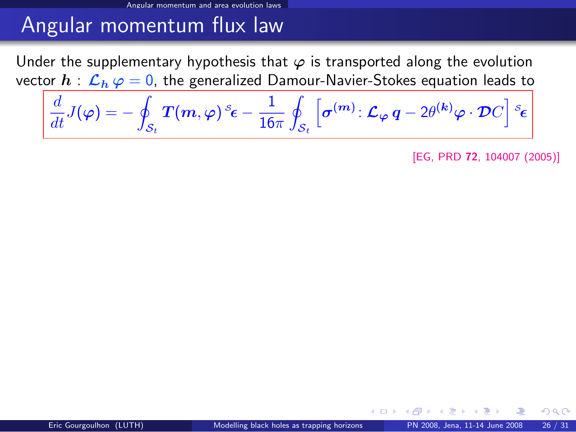#### Angular momentum and area evolution laws

# Angular momentum flux law

Under the supplementary hypothesis that  $\varphi$  is transported along the evolution vector  $h : \mathcal{L}_h \varphi = 0$ , the generalized Damour-Navier-Stokes equation leads to

$$
\frac{d}{dt}J(\varphi)=-\oint_{\mathcal{S}_t}T(m,\varphi)\,^s\epsilon-\frac{1}{16\pi}\oint_{\mathcal{S}_t}\left[\boldsymbol{\sigma}^{(m)}\colon\mathcal{L}_{\varphi}\,q-2\theta^{(k)}\varphi\cdot\mathcal{D}C\right]{}^s\epsilon
$$

[EG, PRD 72[, 104007 \(2005\)\]](http://link.aps.org/abstract/PRD/v72/e104007)

 $\Omega$ 

**← ロ ▶ → イ 同**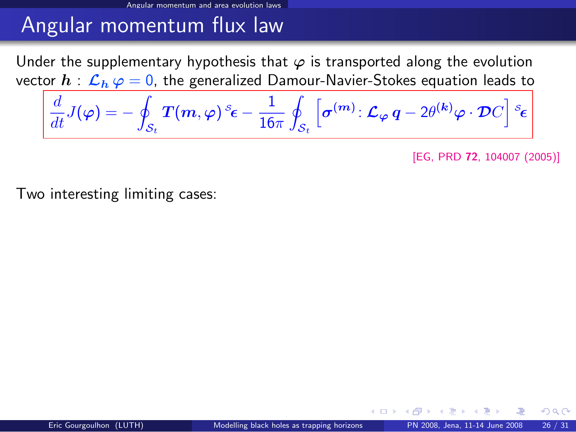#### Angular momentum and area evolution laws

# Angular momentum flux law

Under the supplementary hypothesis that  $\varphi$  is transported along the evolution vector  $h : \mathcal{L}_h \varphi = 0$ , the generalized Damour-Navier-Stokes equation leads to

$$
\frac{d}{dt}J(\varphi)=-\oint_{\mathcal{S}_t}T(m,\varphi)\,^s\epsilon-\frac{1}{16\pi}\oint_{\mathcal{S}_t}\left[\boldsymbol{\sigma}^{(m)}\colon\mathcal{L}_{\varphi}\,q-2\theta^{(k)}\varphi\cdot\mathcal{D}C\right]\,^s\epsilon
$$

[EG, PRD 72[, 104007 \(2005\)\]](http://link.aps.org/abstract/PRD/v72/e104007)

Two interesting limiting cases:

 $\Omega$ 

**← ロ ▶ → イ 同**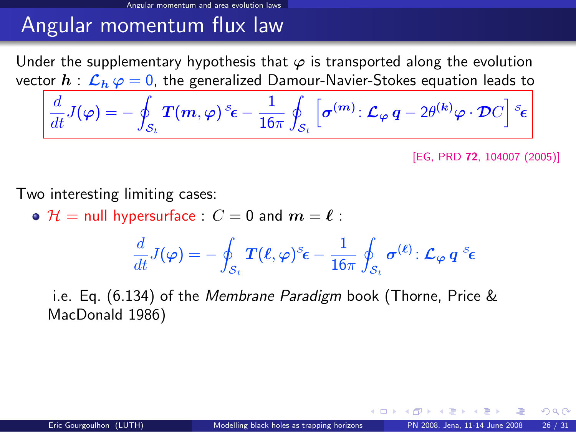# Angular momentum flux law

Angular momentum and area evolution laws

Under the supplementary hypothesis that  $\varphi$  is transported along the evolution vector  $h : \mathcal{L}_h \varphi = 0$ , the generalized Damour-Navier-Stokes equation leads to

$$
\frac{d}{dt}J(\varphi)=-\oint_{\mathcal{S}_t}T(m,\varphi)\,^s\epsilon-\frac{1}{16\pi}\oint_{\mathcal{S}_t}\left[\boldsymbol{\sigma}^{(m)}\colon\mathcal{L}_{\varphi}\,q-2\theta^{(k)}\varphi\cdot\mathcal{D}C\right]\,^s\epsilon
$$

[EG, PRD 72[, 104007 \(2005\)\]](http://link.aps.org/abstract/PRD/v72/e104007)

Two interesting limiting cases:

 $\bullet$   $\mathcal{H}$  = null hypersurface :  $C = 0$  and  $m = \ell$  :

$$
\frac{d}{dt}J(\boldsymbol\varphi)=-\oint_{\mathcal{S}_t} \boldsymbol{T}(\boldsymbol\ell,\boldsymbol\varphi)^s\boldsymbol\epsilon-\frac{1}{16\pi}\oint_{\mathcal{S}_t} \boldsymbol\sigma^{(\boldsymbol\ell)}\!: \boldsymbol{\mathcal{L}}_{\boldsymbol\varphi}\,q^s\boldsymbol\epsilon
$$

i.e. Eq. (6.134) of the Membrane Paradigm book (Thorne, Price & MacDonald 1986)

 $\Omega$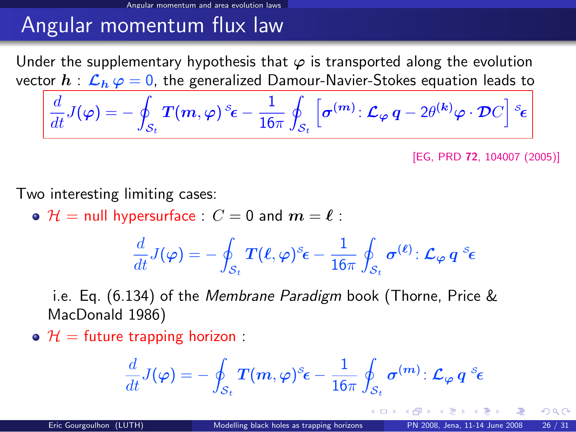# Angular momentum flux law

Angular momentum and area evolution laws

Under the supplementary hypothesis that  $\varphi$  is transported along the evolution vector  $h : \mathcal{L}_h \varphi = 0$ , the generalized Damour-Navier-Stokes equation leads to

$$
\frac{d}{dt}J(\varphi)=-\oint_{\mathcal{S}_t}T(m,\varphi)\,^s\epsilon-\frac{1}{16\pi}\oint_{\mathcal{S}_t}\left[\boldsymbol{\sigma}^{(m)}\colon\mathcal{L}_{\varphi}\,q-2\theta^{(k)}\varphi\cdot\mathcal{D}C\right]\,^s\epsilon
$$

[EG, PRD 72[, 104007 \(2005\)\]](http://link.aps.org/abstract/PRD/v72/e104007)

Two interesting limiting cases:

 $\bullet$   $\mathcal{H}$  = null hypersurface :  $C = 0$  and  $m = \ell$  :

$$
\frac{d}{dt}J(\bm\varphi)=-\oint_{\mathcal{S}_t}\bm{T}(\bm{\ell},\bm\varphi)^\mathcal{S}\bm\epsilon-\frac{1}{16\pi}\oint_{\mathcal{S}_t}\bm{\sigma}^{(\bm{\ell})}\colon\bm{\mathcal{L}}_{\bm\varphi}\,\bm{q}^{-\mathcal{S}}\bm\epsilon
$$

i.e. Eq. (6.134) of the Membrane Paradigm book (Thorne, Price & MacDonald 1986)

 $\bullet$   $\mathcal{H}$  = future trapping horizon :

$$
\frac{d}{dt}J(\varphi)=-\oint_{\mathcal{S}_t}T(m,\varphi)^\mathcal{\mathcal{E}}\epsilon-\frac{1}{16\pi}\oint_{\mathcal{S}_t}\sigma^{(m)}\colon\mathcal{L}_\varphi\,q^{\mathcal{S}}\epsilon
$$

 $\Omega$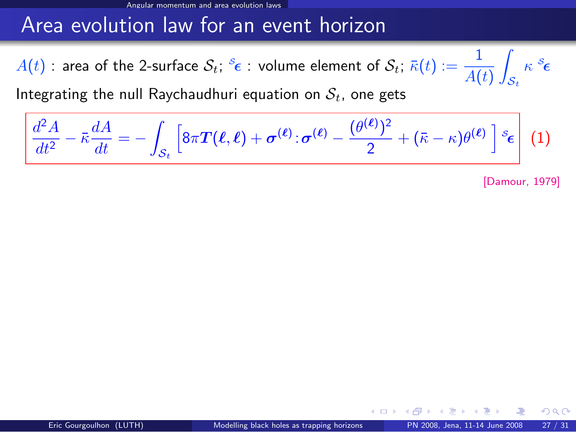## Area evolution law for an event horizon

 $A(t)$  : area of the 2-surface  $\mathcal{S}_t; \, {}^{\mathcal{S}_{\mathbf{\epsilon}}}$  : volume element of  $\mathcal{S}_t; \, \bar{\kappa}(t) := \dfrac{1}{A(t)}$ Z  $\mathcal{S}_t$  $\kappa$   $^s\epsilon$ 

Integrating the null Raychaudhuri equation on  $S_t$ , one gets

$$
\left|\frac{d^2A}{dt^2}-\bar{\kappa}\frac{dA}{dt}=-\int_{\mathcal{S}_t}\left[8\pi\boldsymbol{T}(\boldsymbol{\ell},\boldsymbol{\ell})+\boldsymbol{\sigma}^{(\boldsymbol{\ell})}\cdot\boldsymbol{\sigma}^{(\boldsymbol{\ell})}-\frac{(\theta^{(\boldsymbol{\ell})})^2}{2}+(\bar{\kappa}-\kappa)\theta^{(\boldsymbol{\ell})}\,\right]\,^s\boldsymbol{\epsilon}\right]\,\,(1)
$$

[\[Damour, 1979\]](#page-0-1)

 $\Omega$ 

**∢ ロ ▶ 《 何**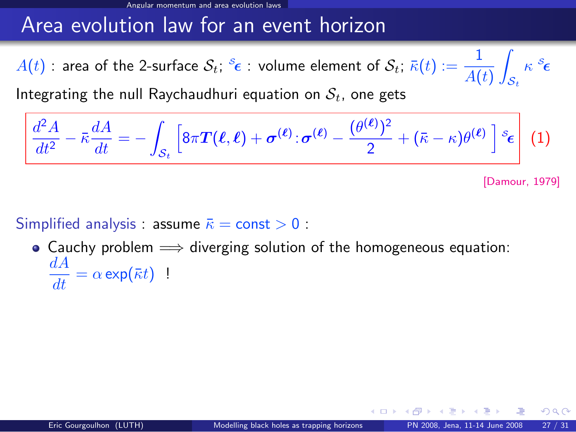## Area evolution law for an event horizon

 $A(t)$  : area of the 2-surface  $\mathcal{S}_t; \, {}^{\mathcal{S}_{\mathbf{\epsilon}}}$  : volume element of  $\mathcal{S}_t; \, \bar{\kappa}(t) := \dfrac{1}{A(t)}$ Z  $\mathcal{S}_t$  $\kappa$   $^s\epsilon$ 

Integrating the null Raychaudhuri equation on  $S_t$ , one gets

$$
\left[\frac{d^2A}{dt^2}-\bar{\kappa}\frac{dA}{dt}=-\int_{\mathcal{S}_t}\left[8\pi\boldsymbol{T}(\boldsymbol{\ell},\boldsymbol{\ell})+\boldsymbol{\sigma}^{(\boldsymbol{\ell})}\cdot\boldsymbol{\sigma}^{(\boldsymbol{\ell})}-\frac{(\theta^{(\boldsymbol{\ell})})^2}{2}+(\bar{\kappa}-\kappa)\theta^{(\boldsymbol{\ell})}\right]s_{\boldsymbol{\epsilon}}\right](1)
$$

[\[Damour, 1979\]](#page-0-1)

 $\Omega$ 

#### Simplified analysis : assume  $\bar{\kappa}$  = const > 0 :

 $\bullet$  Cauchy problem  $\Longrightarrow$  diverging solution of the homogeneous equation:  $\frac{dA}{dt} = \alpha \exp(\bar{\kappa}t)$  !

4 **D F**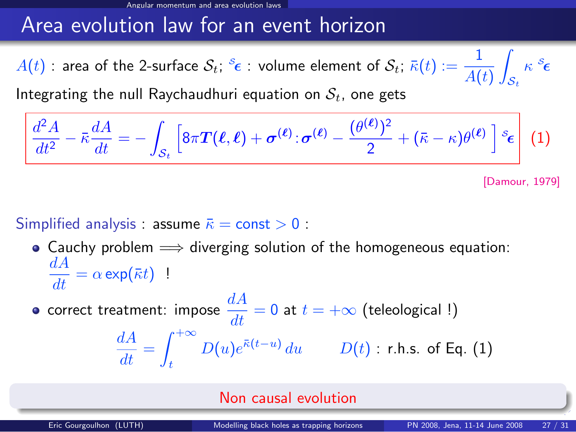## Area evolution law for an event horizon

 $A(t)$  : area of the 2-surface  $\mathcal{S}_t; \, {}^{\mathcal{S}_{\mathbf{\epsilon}}}$  : volume element of  $\mathcal{S}_t; \, \bar{\kappa}(t) := \dfrac{1}{A(t)}$ Z  $\mathcal{S}_t$  $\kappa$   $^s\epsilon$ 

Integrating the null Raychaudhuri equation on  $S_t$ , one gets

$$
\left[\frac{d^2A}{dt^2}-\bar{\kappa}\frac{dA}{dt}=-\int_{\mathcal{S}_t}\left[8\pi\boldsymbol{T}(\boldsymbol{\ell},\boldsymbol{\ell})+\boldsymbol{\sigma}^{(\boldsymbol{\ell})}\cdot\boldsymbol{\sigma}^{(\boldsymbol{\ell})}-\frac{(\theta^{(\boldsymbol{\ell})})^2}{2}+(\bar{\kappa}-\kappa)\theta^{(\boldsymbol{\ell})}\right]s_{\boldsymbol{\epsilon}}\right](1)
$$

[\[Damour, 1979\]](#page-0-1)

#### Simplified analysis : assume  $\bar{\kappa}$  = const > 0 :

• Cauchy problem  $\implies$  diverging solution of the homogeneous equation:  $\frac{dA}{dt} = \alpha \exp(\bar{\kappa}t)$  !

correct treatment: impose  $\dfrac{dA}{dt}=0$  at  $t=+\infty$  (teleological !)

$$
\frac{dA}{dt} = \int_{t}^{+\infty} D(u)e^{\bar{\kappa}(t-u)} du \qquad D(t) : \text{ r.h.s. of Eq. (1)}
$$

#### Non causal evolution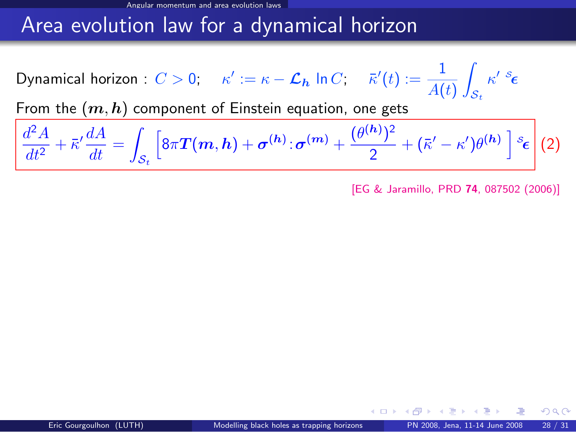## Area evolution law for a dynamical horizon

Dynamical horizon :  $C>0; \quad \kappa':=\kappa-\mathcal{L}_{\bm{h}}$  In  $C; \quad \bar{\kappa}'(t):=\dfrac{1}{A(t)}$ Z  $\mathcal{S}_t$  $\kappa'$   $^s$ ε

From the  $(m,h)$  component of Einstein equation, one gets

$$
\frac{d^2A}{dt^2} + \bar{\kappa}'\frac{dA}{dt} = \int_{\mathcal{S}_t} \left[ 8\pi \boldsymbol{T}(\boldsymbol{m}, \boldsymbol{h}) + \boldsymbol{\sigma}^{(\boldsymbol{h})}\cdot \boldsymbol{\sigma}^{(\boldsymbol{m})} + \frac{(\theta^{(\boldsymbol{h})})^2}{2} + (\bar{\kappa}' - \kappa')\theta^{(\boldsymbol{h})} \right] \,^s \boldsymbol{\epsilon} \, \bigg| \, (2)
$$

[\[EG & Jaramillo, PRD](http://link.aps.org/abstract/PRD/v74/e087502) 74, 087502 (2006)]

 $\Omega$ 

**∢ ロ ▶ 《 何**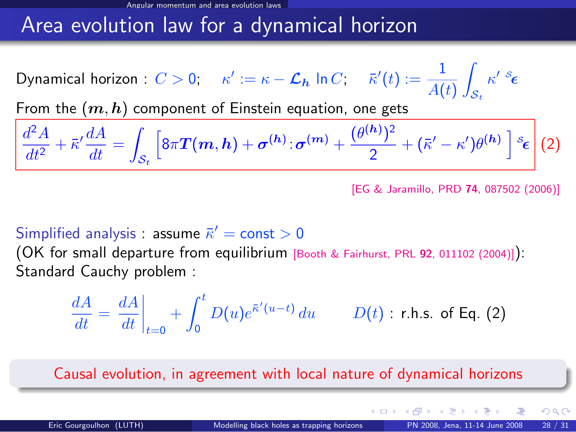## Area evolution law for a dynamical horizon

Dynamical horizon :  $C>0; \quad \kappa':=\kappa-\mathcal{L}_{\bm{h}}$  In  $C; \quad \bar{\kappa}'(t):=\dfrac{1}{A(t)}$ Z  $\mathcal{S}_t$  $\kappa'$   $^s$ ε

From the  $(m,h)$  component of Einstein equation, one gets

$$
\frac{d^2A}{dt^2} + \bar{\kappa}'\frac{dA}{dt} = \int_{\mathcal{S}_t} \left[ 8\pi \boldsymbol{T}(\boldsymbol{m}, \boldsymbol{h}) + \boldsymbol{\sigma}^{(\boldsymbol{h})}\cdot \boldsymbol{\sigma}^{(\boldsymbol{m})} + \frac{(\theta^{(\boldsymbol{h})})^2}{2} + (\bar{\kappa}' - \kappa')\theta^{(\boldsymbol{h})} \right] \cdot \varepsilon_{\boldsymbol{\epsilon}} \right] (2)
$$

[\[EG & Jaramillo, PRD](http://link.aps.org/abstract/PRD/v74/e087502) 74, 087502 (2006)]

#### Simplified analysis : assume  $\bar{\kappa}' = \mathsf{const} > 0$

(OK for small departure from equilibrium [\[Booth & Fairhurst, PRL](#page-0-1) <sup>92</sup>, 011102 (2004)]): Standard Cauchy problem :

$$
\frac{dA}{dt} = \left. \frac{dA}{dt} \right|_{t=0} + \int_0^t D(u) e^{\bar{\kappa}'(u-t)} du \qquad D(t) : \text{ r.h.s. of Eq. (2)}
$$

Causal evolution, in agreement with local nature of dynamical horizons

 $\Omega$ 

**K ロ ト K 何 ト K ヨ ト**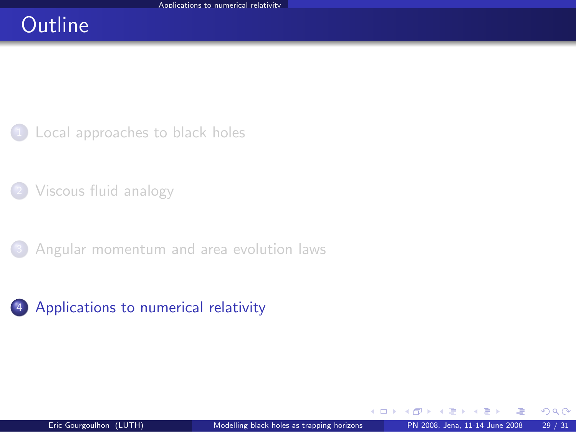# **Outline**

<sup>1</sup> [Local approaches to black holes](#page-2-0)

<sup>2</sup> [Viscous fluid analogy](#page-29-0)

<sup>3</sup> [Angular momentum and area evolution laws](#page-45-0)



<span id="page-56-0"></span> $\Omega$ 

э  $\sim$ 

**← ロ ▶ → イ 同**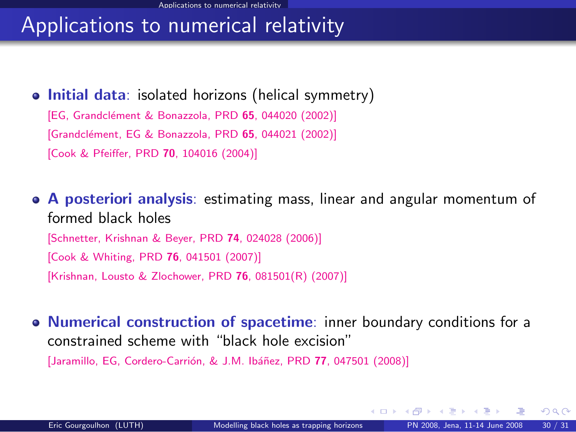# Applications to numerical relativity

#### • Initial data: isolated horizons (helical symmetry)

[EG, Grandclément & Bonazzola, PRD 65, 044020 (2002)] [Grandclément, EG & Bonazzola, PRD 65, 044021 (2002)] [\[Cook & Pfeiffer, PRD](#page-0-1) 70, 104016 (2004)]

A posteriori analysis: estimating mass, linear and angular momentum of formed black holes [\[Schnetter, Krishnan & Beyer, PRD](#page-0-1) 74, 024028 (2006)] [\[Cook & Whiting, PRD](#page-0-1) 76, 041501 (2007)] [\[Krishnan, Lousto & Zlochower, PRD](#page-0-1) 76, 081501(R) (2007)]

• Numerical construction of spacetime: inner boundary conditions for a constrained scheme with "black hole excision" [Jaramillo, EG, Cordero-Carrión, & J.M. Ibáñez, PRD 77, 047501 (2008)]

 $\Omega$ 

**K ロ ト K 何 ト K ヨ ト K**